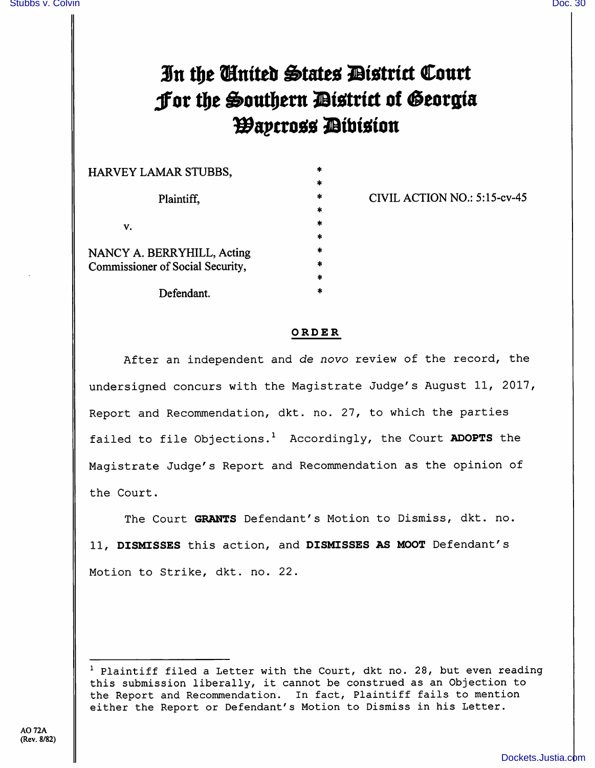## In the Cinited States District Court Jor the Southern *Dis*trict of Georgia **Waycross Dibision**

| HARVEY LAMAR STUBBS,                                           |  |
|----------------------------------------------------------------|--|
| Plaintiff,                                                     |  |
| V.                                                             |  |
| NANCY A. BERRYHILL, Acting<br>Commissioner of Social Security, |  |

Defendant.

CIVIL ACTION NO.: 5:15-cv-45

ORDER

After an independent and de novo review of the record, the undersigned concurs with the Magistrate Judge's August 11, 2017, Report and Recommendation, dkt. no. 27, to which the parties failed to file Objections.<sup>1</sup> Accordingly, the Court **ADOPTS** the Magistrate Judge's Report and Recommendation as the opinion of the Court.

The Court GRANTS Defendant's Motion to Dismiss, dkt. no. 11, DISMISSES this action, and DISMISSES AS MOOT Defendant's Motion to Strike, dkt. no. 22.

 $1$  Plaintiff filed a Letter with the Court, dkt no. 28, but even reading this submission liberally, it cannot be construed as an Objection to the Report and Recommendation. In fact, Plaintiff fails to mention either the Report or Defendant's Motion to Dismiss in his Letter.